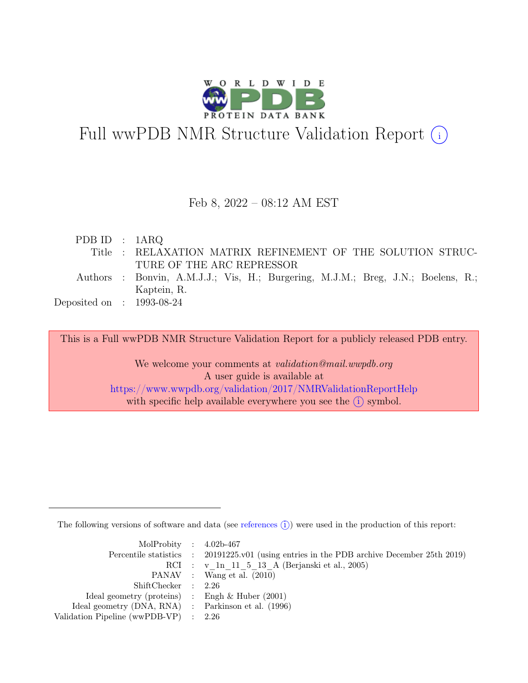

# Full wwPDB NMR Structure Validation Report (i)

#### Feb 8, 2022 – 08:12 AM EST

| PDB ID : $1ARQ$                                                                  |  |
|----------------------------------------------------------------------------------|--|
| Title : RELAXATION MATRIX REFINEMENT OF THE SOLUTION STRUC-                      |  |
| TURE OF THE ARC REPRESSOR                                                        |  |
| Authors : Bonvin, A.M.J.J.; Vis, H.; Burgering, M.J.M.; Breg, J.N.; Boelens, R.; |  |
| Kaptein, R.                                                                      |  |
| Deposited on : $1993-08-24$                                                      |  |

This is a Full wwPDB NMR Structure Validation Report for a publicly released PDB entry.

We welcome your comments at *validation@mail.wwpdb.org* A user guide is available at <https://www.wwpdb.org/validation/2017/NMRValidationReportHelp> with specific help available everywhere you see the  $(i)$  symbol.

The following versions of software and data (see [references](https://www.wwpdb.org/validation/2017/NMRValidationReportHelp#references)  $\hat{I}$ ) were used in the production of this report:

| MolProbity : $4.02b-467$                            |                                                                                            |
|-----------------------------------------------------|--------------------------------------------------------------------------------------------|
|                                                     | Percentile statistics : 20191225.v01 (using entries in the PDB archive December 25th 2019) |
|                                                     | RCI : v 1n 11 5 13 A (Berjanski et al., 2005)                                              |
|                                                     | PANAV : Wang et al. (2010)                                                                 |
| ShiftChecker : 2.26                                 |                                                                                            |
| Ideal geometry (proteins) : Engh $\&$ Huber (2001)  |                                                                                            |
| Ideal geometry (DNA, RNA) : Parkinson et al. (1996) |                                                                                            |
| Validation Pipeline (wwPDB-VP) $\therefore$ 2.26    |                                                                                            |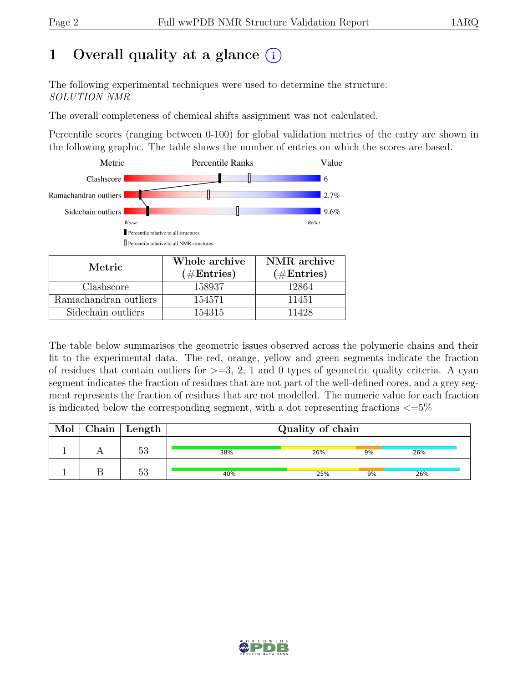# 1 Overall quality at a glance  $(i)$

The following experimental techniques were used to determine the structure: SOLUTION NMR

The overall completeness of chemical shifts assignment was not calculated.

Percentile scores (ranging between 0-100) for global validation metrics of the entry are shown in the following graphic. The table shows the number of entries on which the scores are based.



| Metric.               | Whole archive | NMR archive   |
|-----------------------|---------------|---------------|
|                       | $(\#Entries)$ | $(\#Entries)$ |
| Clashscore            | 158937        | 12864         |
| Ramachandran outliers | 154571        | 11451         |
| Sidechain outliers    | 154315        | 11428         |

The table below summarises the geometric issues observed across the polymeric chains and their fit to the experimental data. The red, orange, yellow and green segments indicate the fraction of residues that contain outliers for  $>=$  3, 2, 1 and 0 types of geometric quality criteria. A cyan segment indicates the fraction of residues that are not part of the well-defined cores, and a grey segment represents the fraction of residues that are not modelled. The numeric value for each fraction is indicated below the corresponding segment, with a dot representing fractions  $\langle=5\%$ 

| Mol | $Chain \mid Length$ | Quality of chain |     |    |     |  |
|-----|---------------------|------------------|-----|----|-----|--|
|     | につ<br>ಀಀ            | 38%              | 26% | 9% | 26% |  |
|     | につ<br>ಲಲ            | 40%              | 25% | 9% | 26% |  |

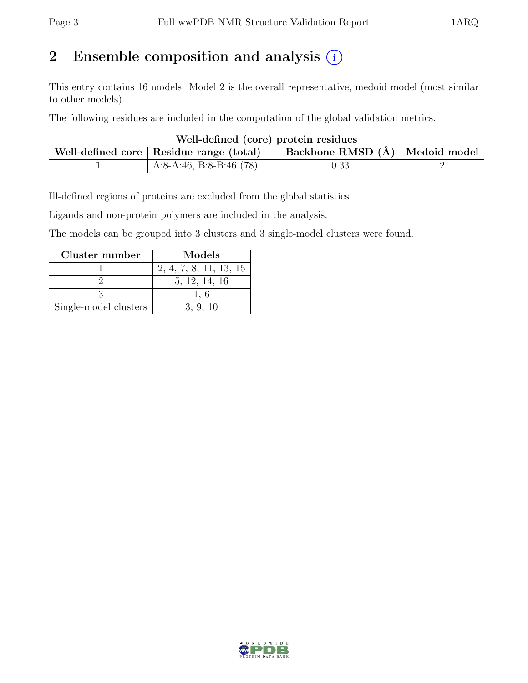# 2 Ensemble composition and analysis  $(i)$

This entry contains 16 models. Model 2 is the overall representative, medoid model (most similar to other models).

The following residues are included in the computation of the global validation metrics.

| Well-defined (core) protein residues                                        |                           |            |  |  |  |  |
|-----------------------------------------------------------------------------|---------------------------|------------|--|--|--|--|
| Backbone RMSD (Å) Medoid model<br>Well-defined core   Residue range (total) |                           |            |  |  |  |  |
|                                                                             | A:8-A:46, B:8-B:46 $(78)$ | $\rm 0.33$ |  |  |  |  |

Ill-defined regions of proteins are excluded from the global statistics.

Ligands and non-protein polymers are included in the analysis.

The models can be grouped into 3 clusters and 3 single-model clusters were found.

| Cluster number        | Models                 |
|-----------------------|------------------------|
|                       | 2, 4, 7, 8, 11, 13, 15 |
|                       | 5, 12, 14, 16          |
|                       |                        |
| Single-model clusters | 3:9:10                 |

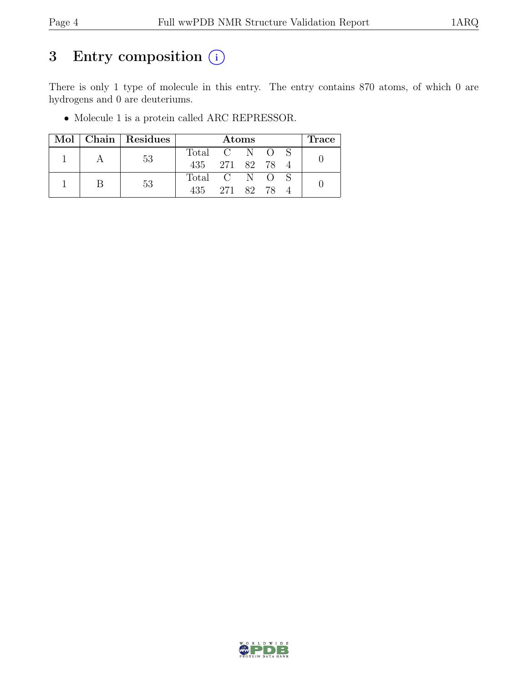# 3 Entry composition  $(i)$

There is only 1 type of molecule in this entry. The entry contains 870 atoms, of which 0 are hydrogens and 0 are deuteriums.

• Molecule 1 is a protein called ARC REPRESSOR.

|  |  | Mol   Chain   Residues | <b>Atoms</b>    |  |               |  | Trace |  |
|--|--|------------------------|-----------------|--|---------------|--|-------|--|
|  |  | 53                     | Total C N O S   |  |               |  |       |  |
|  |  |                        | 435 271 82 78 4 |  |               |  |       |  |
|  |  | 53                     | Total C N O S   |  |               |  |       |  |
|  |  |                        |                 |  | 435 271 82 78 |  |       |  |

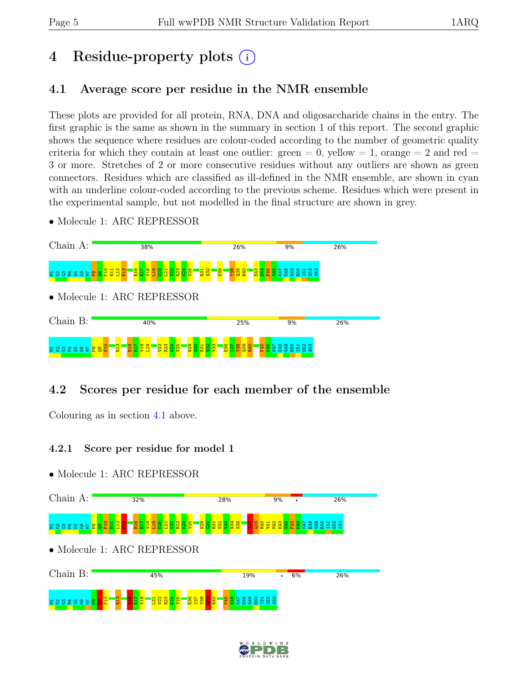# 4 Residue-property plots (i)

## <span id="page-4-0"></span>4.1 Average score per residue in the NMR ensemble

These plots are provided for all protein, RNA, DNA and oligosaccharide chains in the entry. The first graphic is the same as shown in the summary in section 1 of this report. The second graphic shows the sequence where residues are colour-coded according to the number of geometric quality criteria for which they contain at least one outlier: green  $= 0$ , yellow  $= 1$ , orange  $= 2$  and red  $=$ 3 or more. Stretches of 2 or more consecutive residues without any outliers are shown as green connectors. Residues which are classified as ill-defined in the NMR ensemble, are shown in cyan with an underline colour-coded according to the previous scheme. Residues which were present in the experimental sample, but not modelled in the final structure are shown in grey.

• Molecule 1: ARC REPRESSOR



## 4.2 Scores per residue for each member of the ensemble

Colouring as in section [4.1](#page-4-0) above.

#### 4.2.1 Score per residue for model 1



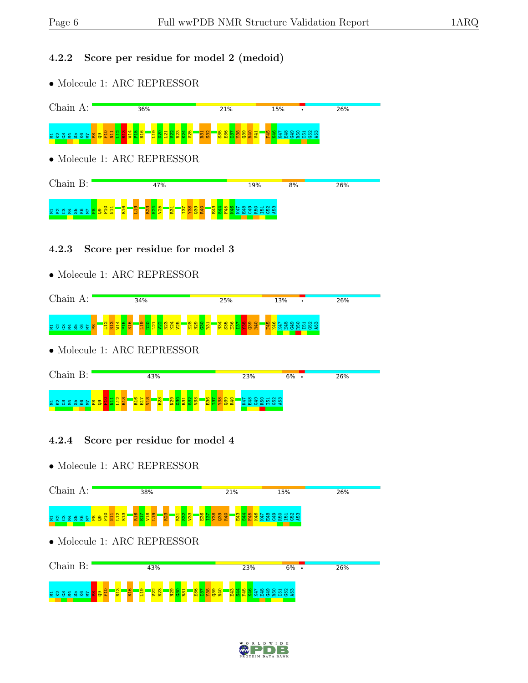### 4.2.2 Score per residue for model 2 (medoid)

• Molecule 1: ARC REPRESSOR



#### 4.2.3 Score per residue for model 3

• Molecule 1: ARC REPRESSOR



• Molecule 1: ARC REPRESSOR



### 4.2.4 Score per residue for model 4



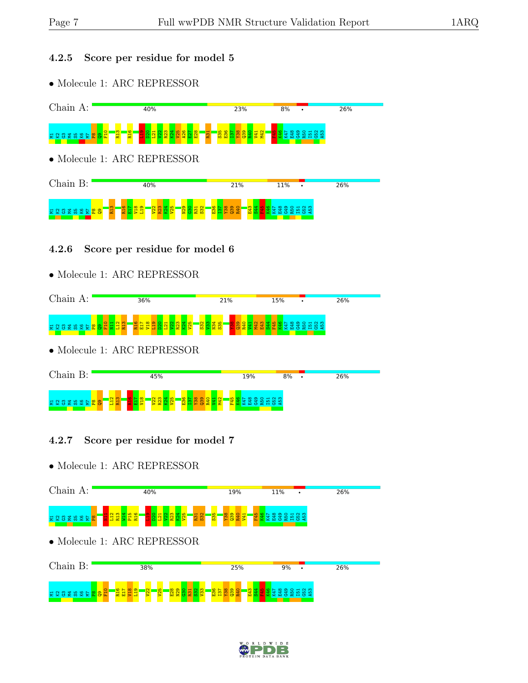### 4.2.5 Score per residue for model 5

• Molecule 1: ARC REPRESSOR



#### 4.2.6 Score per residue for model 6

• Molecule 1: ARC REPRESSOR



• Molecule 1: ARC REPRESSOR



### 4.2.7 Score per residue for model 7



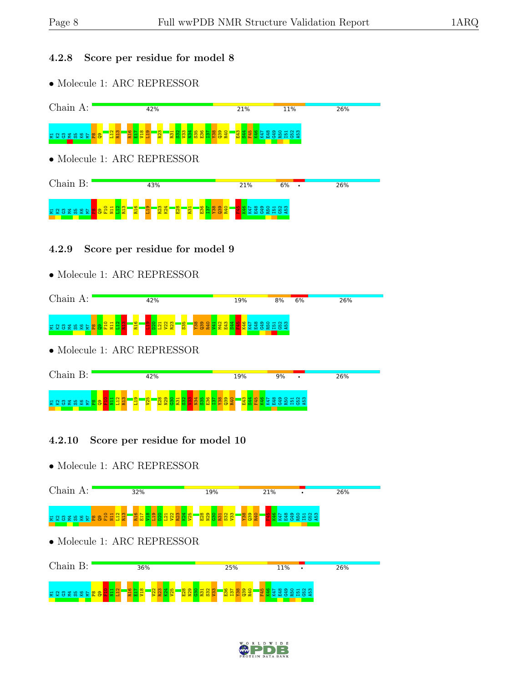### 4.2.8 Score per residue for model 8

• Molecule 1: ARC REPRESSOR



#### 4.2.9 Score per residue for model 9

• Molecule 1: ARC REPRESSOR



• Molecule 1: ARC REPRESSOR



### 4.2.10 Score per residue for model 10



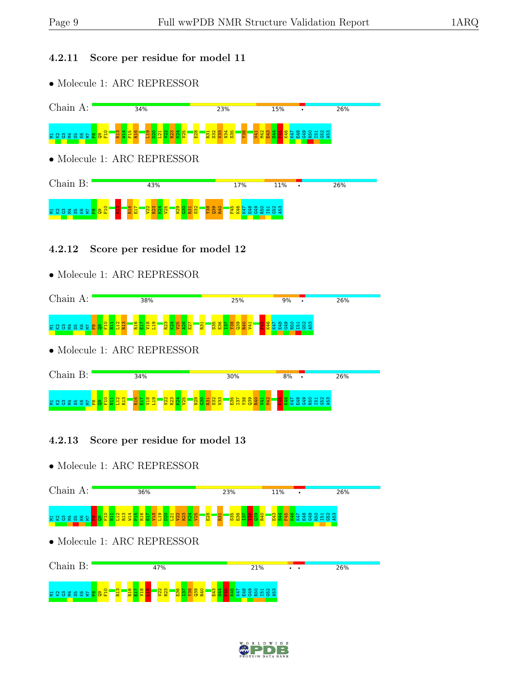#### 4.2.11 Score per residue for model 11

• Molecule 1: ARC REPRESSOR



#### 4.2.12 Score per residue for model 12

• Molecule 1: ARC REPRESSOR



• Molecule 1: ARC REPRESSOR



### 4.2.13 Score per residue for model 13



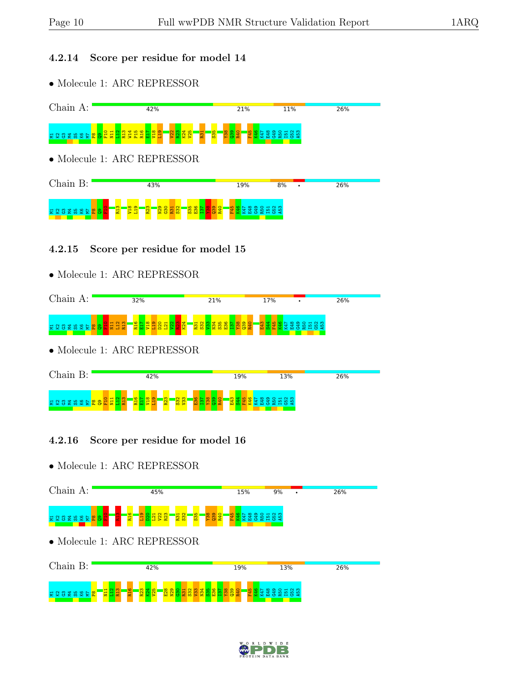#### 4.2.14 Score per residue for model 14

• Molecule 1: ARC REPRESSOR



#### 4.2.15 Score per residue for model 15

• Molecule 1: ARC REPRESSOR



• Molecule 1: ARC REPRESSOR



### 4.2.16 Score per residue for model 16



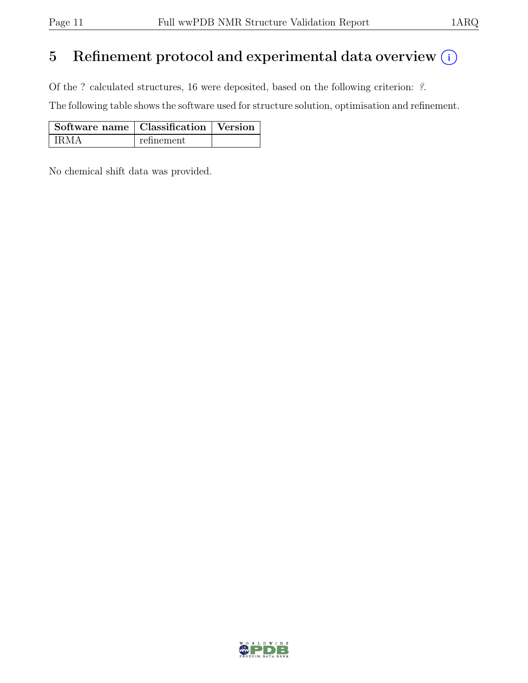# 5 Refinement protocol and experimental data overview  $(i)$

Of the ? calculated structures, 16 were deposited, based on the following criterion: ?.

The following table shows the software used for structure solution, optimisation and refinement.

| Software name   Classification   Version |            |  |
|------------------------------------------|------------|--|
| ' IRMA                                   | refinement |  |

No chemical shift data was provided.

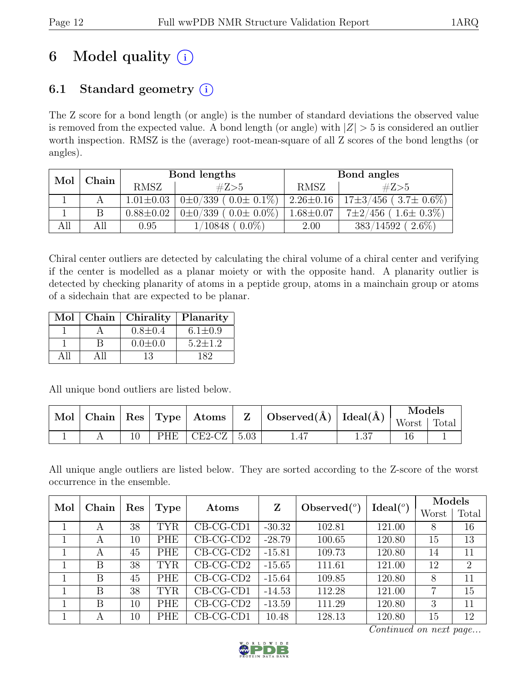# 6 Model quality  $(i)$

# 6.1 Standard geometry  $(i)$

The Z score for a bond length (or angle) is the number of standard deviations the observed value is removed from the expected value. A bond length (or angle) with  $|Z| > 5$  is considered an outlier worth inspection. RMSZ is the (average) root-mean-square of all Z scores of the bond lengths (or angles).

| Mol | Chain |                 | Bond lengths                    | Bond angles     |                                |  |
|-----|-------|-----------------|---------------------------------|-----------------|--------------------------------|--|
|     |       | <b>RMSZ</b>     | #Z>5                            | RMSZ            | #Z>5                           |  |
|     |       | $1.01 \pm 0.03$ | $0\pm 0/339$ ( $0.0\pm 0.1\%$ ) | $2.26 \pm 0.16$ | $17\pm3/456$ ( $3.7\pm0.6\%$ ) |  |
|     | B     | $0.88 \pm 0.02$ | $0\pm 0/339$ ( $0.0\pm 0.0\%$ ) | $1.68 \pm 0.07$ | $7\pm2/456$ (1.6 $\pm$ 0.3%)   |  |
| All | All   | 0.95            | $0.0\%$<br>1/10848              | 2.00            | $383/14592$ (<br>$2.6\%$ )     |  |

Chiral center outliers are detected by calculating the chiral volume of a chiral center and verifying if the center is modelled as a planar moiety or with the opposite hand. A planarity outlier is detected by checking planarity of atoms in a peptide group, atoms in a mainchain group or atoms of a sidechain that are expected to be planar.

| Mol | Chain   Chirality | Planarity     |
|-----|-------------------|---------------|
|     | $0.8 \pm 0.4$     | $6.1 \pm 0.9$ |
|     | $0.0 \pm 0.0$     | $5.2 \pm 1.2$ |
|     | 13                | 182           |

All unique bond outliers are listed below.

|  |     |          |      | $\mid$ Mol $\mid$ Chain $\mid$ Res $\mid$ Type $\mid$ Atoms $\mid$ Z $\mid$ Observed(Å) $\mid$ Ideal(Å) $\mid$ | Models |       |
|--|-----|----------|------|----------------------------------------------------------------------------------------------------------------|--------|-------|
|  |     |          |      |                                                                                                                | Worst  | Total |
|  | PHE | $CE2-CZ$ | 5.03 |                                                                                                                |        |       |

All unique angle outliers are listed below. They are sorted according to the Z-score of the worst occurrence in the ensemble.

| Mol | Chain | Res |            | Ideal <sup>o</sup><br>Atoms |          | Observed $(°)$<br>Z |        | <b>Models</b> |                |
|-----|-------|-----|------------|-----------------------------|----------|---------------------|--------|---------------|----------------|
|     |       |     | Type       |                             |          |                     |        | Worst         | Total          |
|     | А     | 38  | <b>TYR</b> | $CB-CG-CD1$                 | $-30.32$ | 102.81              | 121.00 | 8             | 16             |
|     | A     | 10  | <b>PHE</b> | $CB-CG-CD2$                 | $-28.79$ | 100.65              | 120.80 | 15            | 13             |
|     | А     | 45  | <b>PHE</b> | $CB-CG-CD2$                 | $-15.81$ | 109.73              | 120.80 | 14            | 11             |
|     | B     | 38  | TYR        | $CB-CG-CD2$                 | $-15.65$ | 111.61              | 121.00 | 12            | $\overline{2}$ |
|     | B     | 45  | <b>PHE</b> | $CB-CG-CD2$                 | $-15.64$ | 109.85              | 120.80 | 8             | 11             |
|     | B     | 38  | <b>TYR</b> | $CB-CG-CD1$                 | $-14.53$ | 112.28              | 121.00 | 7             | 15             |
|     | B     | 10  | <b>PHE</b> | $CB-CG-CD2$                 | $-13.59$ | 111.29              | 120.80 | 3             | 11             |
|     | А     | 10  | PHE        | $CB-CG-CD1$                 | 10.48    | 128.13              | 120.80 | 15            | 12             |

Continued on next page...

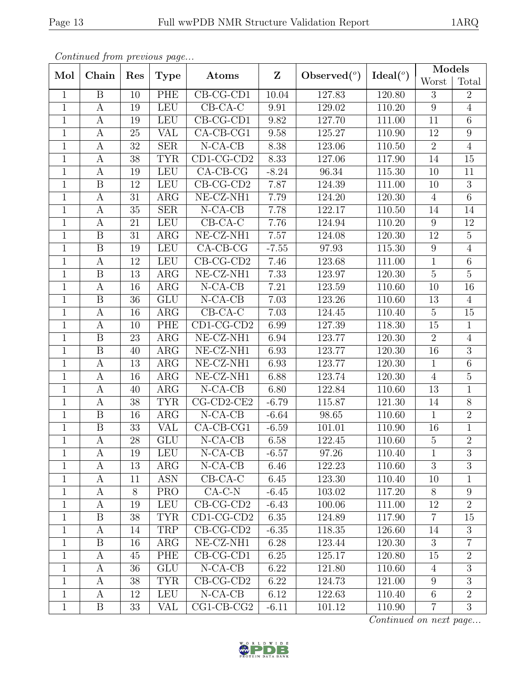|                | Continuea from previous page |                 |                         |                             |              |                |             | Models          |                  |
|----------------|------------------------------|-----------------|-------------------------|-----------------------------|--------------|----------------|-------------|-----------------|------------------|
| Mol            | Chain                        | Res             | <b>Type</b>             | Atoms                       | $\mathbf{Z}$ | Observed $(°)$ | Ideal $(°)$ | Worst           | Total            |
| $\mathbf{1}$   | B                            | 10              | PHE                     | $CB-CG-CD1$                 | 10.04        | 127.83         | 120.80      | 3               | $\overline{2}$   |
| $\overline{1}$ | $\mathbf{A}$                 | 19              | <b>LEU</b>              | $\overline{\text{CB-CA-C}}$ | 9.91         | 129.02         | 110.20      | $\overline{9}$  | $\overline{4}$   |
| $\mathbf{1}$   | $\boldsymbol{A}$             | 19              | LEU                     | $CB-CG-CD1$                 | 9.82         | 127.70         | 111.00      | 11              | $\,6$            |
| $\mathbf{1}$   | $\mathbf{A}$                 | 25              | <b>VAL</b>              | $CA-CB-CG1$                 | 9.58         | 125.27         | 110.90      | $\overline{12}$ | $\overline{9}$   |
| $\mathbf{1}$   | $\mathbf{A}$                 | $32\,$          | <b>SER</b>              | $N$ -CA-CB                  | 8.38         | 123.06         | 110.50      | $\overline{2}$  | $\overline{4}$   |
| $\mathbf{1}$   | $\mathbf{A}$                 | $\overline{38}$ | <b>TYR</b>              | $CD1-CG-CD2$                | 8.33         | 127.06         | 117.90      | 14              | $\overline{15}$  |
| $\mathbf{1}$   | $\boldsymbol{A}$             | 19              | <b>LEU</b>              | $CA-CB-CG$                  | $-8.24$      | 96.34          | 115.30      | 10              | 11               |
| $\mathbf{1}$   | $\boldsymbol{B}$             | 12              | <b>LEU</b>              | $CB-CG-CD2$                 | 7.87         | 124.39         | 111.00      | 10              | $\overline{3}$   |
| $\mathbf{1}$   | A                            | 31              | ARG                     | NE-CZ-NH1                   | 7.79         | 124.20         | 120.30      | $\overline{4}$  | $\overline{6}$   |
| $\mathbf{1}$   | $\mathbf{A}$                 | 35              | <b>SER</b>              | $N-CA-CB$                   | 7.78         | 122.17         | 110.50      | 14              | 14               |
| $\overline{1}$ | A                            | $21\,$          | <b>LEU</b>              | $CB-CA-C$                   | 7.76         | 124.94         | 110.20      | 9               | $12\,$           |
| $\mathbf{1}$   | $\boldsymbol{B}$             | 31              | ARG                     | NE-CZ-NH1                   | 7.57         | 124.08         | 120.30      | 12              | $\overline{5}$   |
| $\mathbf{1}$   | $\boldsymbol{B}$             | 19              | <b>LEU</b>              | $CA-CB-CG$                  | $-7.55$      | 97.93          | 115.30      | 9               | $\overline{4}$   |
| $\mathbf{1}$   | A                            | 12              | <b>LEU</b>              | $CB-CG-CD2$                 | 7.46         | 123.68         | 111.00      | $\mathbf{1}$    | $\,6$            |
| $\mathbf{1}$   | $\boldsymbol{B}$             | 13              | $\rm{ARG}$              | NE-CZ-NH1                   | 7.33         | 123.97         | 120.30      | $\overline{5}$  | $\overline{5}$   |
| $\mathbf{1}$   | $\boldsymbol{A}$             | 16              | $\rm{ARG}$              | $N-CA-CB$                   | 7.21         | 123.59         | 110.60      | 10              | 16               |
| $\mathbf{1}$   | $\boldsymbol{B}$             | 36              | ${\rm GLU}$             | $N-CA-CB$                   | 7.03         | 123.26         | 110.60      | 13              | $\overline{4}$   |
| $\mathbf{1}$   | A                            | 16              | ARG                     | $CB-CA-C$                   | 7.03         | 124.45         | 110.40      | $\overline{5}$  | 15               |
| $\mathbf{1}$   | $\mathbf{A}$                 | 10              | PHE                     | $CD1-CG-CD2$                | 6.99         | 127.39         | 118.30      | $15\,$          | $\mathbf{1}$     |
| $\mathbf{1}$   | $\boldsymbol{B}$             | 23              | $\rm{ARG}$              | NE-CZ-NH1                   | 6.94         | 123.77         | 120.30      | 2               | $\overline{4}$   |
| $\overline{1}$ | $\overline{B}$               | 40              | $\overline{\text{ARG}}$ | NE-CZ-NH1                   | 6.93         | 123.77         | 120.30      | $\overline{16}$ | $\overline{3}$   |
| $\mathbf{1}$   | $\boldsymbol{A}$             | 13              | ARG                     | NE-CZ-NH1                   | 6.93         | 123.77         | 120.30      | $\mathbf{1}$    | $\,6\,$          |
| $\mathbf{1}$   | $\mathbf{A}$                 | 16              | $\overline{\text{ARG}}$ | $NE- CZ- NH1$               | 6.88         | 123.74         | 120.30      | $\overline{4}$  | $\overline{5}$   |
| $\mathbf{1}$   | $\boldsymbol{A}$             | 40              | ARG                     | $N-CA-CB$                   | 6.80         | 122.84         | 110.60      | 13              | $\mathbf{1}$     |
| $\overline{1}$ | $\mathbf{A}$                 | 38              | <b>TYR</b>              | $CG$ - $CD$ 2- $CE$ 2       | $-6.79$      | 115.87         | 121.30      | 14              | $\overline{8}$   |
| $\mathbf{1}$   | $\boldsymbol{B}$             | 16              | ARG                     | $N$ -CA-CB                  | $-6.64$      | 98.65          | 110.60      | $\mathbf{1}$    | $\overline{2}$   |
| $\mathbf{1}$   | $\boldsymbol{B}$             | 33              | <b>VAL</b>              | CA-CB-CG1                   | $-6.59$      | 101.01         | 110.90      | 16              | $\mathbf{1}$     |
| $\mathbf 1$    | $\boldsymbol{A}$             | $28\,$          | GLU                     | $N-CA-CB$                   | 6.58         | 122.45         | 110.60      | $\mathbf 5$     | $\overline{2}$   |
| $\mathbf{1}$   | A                            | 19              | <b>LEU</b>              | $N-CA-CB$                   | $-6.57$      | 97.26          | 110.40      | $\mathbf{1}$    | 3                |
| $\mathbf{1}$   | A                            | 13              | $\rm{ARG}$              | $N-CA-CB$                   | 6.46         | 122.23         | 110.60      | 3               | 3                |
| $\mathbf{1}$   | A                            | 11              | <b>ASN</b>              | $CB-CA-C$                   | 6.45         | 123.30         | 110.40      | 10              | $\mathbf 1$      |
| $\mathbf{1}$   | A                            | 8               | <b>PRO</b>              | $CA-C-N$                    | $-6.45$      | 103.02         | 117.20      | 8               | 9                |
| $\mathbf{1}$   | A                            | 19              | <b>LEU</b>              | $CB-CG-CD2$                 | $-6.43$      | 100.06         | 111.00      | 12              | $\overline{2}$   |
| $\mathbf{1}$   | B                            | 38              | <b>TYR</b>              | $CD1-CG-CD2$                | 6.35         | 124.89         | 117.90      | $\overline{7}$  | 15               |
| $\mathbf{1}$   | A                            | 14              | TRP                     | $CB-CG-CD2$                 | $-6.35$      | 118.35         | 126.60      | 14              | $\boldsymbol{3}$ |
| $\mathbf{1}$   | B                            | 16              | $\rm{ARG}$              | NE-CZ-NH1                   | 6.28         | 123.44         | 120.30      | 3               | $\overline{7}$   |
| $\mathbf{1}$   | A                            | 45              | PHE                     | $CB-CG-CD1$                 | 6.25         | 125.17         | 120.80      | 15              | $\overline{2}$   |
| $\mathbf{1}$   | A                            | 36              | <b>GLU</b>              | $N-CA-CB$                   | 6.22         | 121.80         | 110.60      | $\overline{4}$  | $\overline{3}$   |
| $\mathbf{1}$   | A                            | 38              | <b>TYR</b>              | $CB-CG-CD2$                 | 6.22         | 124.73         | 121.00      | 9               | 3                |
| $\mathbf{1}$   | A                            | 12              | <b>LEU</b>              | $N-CA-CB$                   | 6.12         | 122.63         | 110.40      | $\overline{6}$  | $\overline{2}$   |
| $\mathbf{1}$   | $\boldsymbol{B}$             | 33              | VAL                     | $CG1-CB-CG2$                | $-6.11$      | 101.12         | 110.90      | $\overline{7}$  | 3                |

Continued from previous page.

Continued on next page...

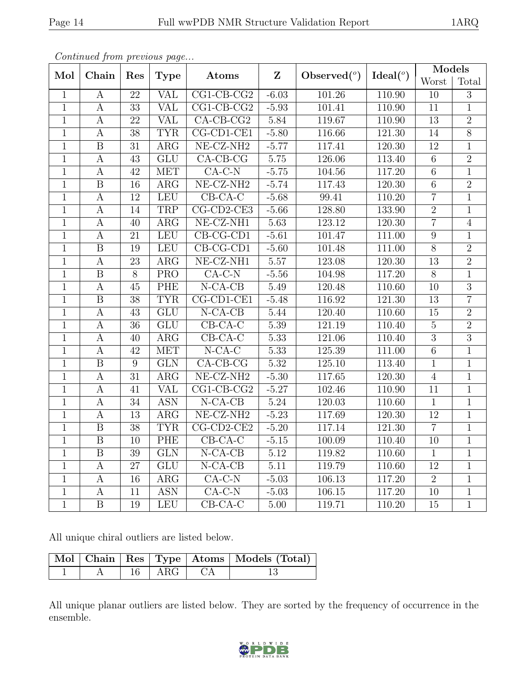|                | Continued from previous page |                 |                         |                       |              |                |                    | Models         |                |
|----------------|------------------------------|-----------------|-------------------------|-----------------------|--------------|----------------|--------------------|----------------|----------------|
| Mol            | Chain                        | Res             | Type                    | Atoms                 | $\mathbf{Z}$ | Observed $(°)$ | Ideal <sup>o</sup> | Worst          | Total          |
| $\mathbf{1}$   | A                            | 22              | <b>VAL</b>              | $CG1-CB-CG2$          | $-6.03$      | 101.26         | 110.90             | 10             | 3              |
| $\mathbf{1}$   | $\mathbf{A}$                 | 33              | <b>VAL</b>              | $CG1-CB-CG2$          | $-5.93$      | 101.41         | 110.90             | 11             | $\mathbf{1}$   |
| $\mathbf{1}$   | $\boldsymbol{A}$             | 22              | <b>VAL</b>              | $CA-CB-CG2$           | 5.84         | 119.67         | 110.90             | 13             | $\overline{2}$ |
| $\overline{1}$ | $\overline{A}$               | $\overline{38}$ | <b>TYR</b>              | $CG-CD1-CE1$          | $-5.80$      | 116.66         | 121.30             | 14             | $\overline{8}$ |
| $\mathbf{1}$   | $\boldsymbol{B}$             | 31              | ARG                     | NE-CZ-NH <sub>2</sub> | $-5.77$      | 117.41         | 120.30             | 12             | $\mathbf{1}$   |
| $\mathbf{1}$   | $\boldsymbol{A}$             | 43              | $\overline{\text{GLU}}$ | $CA-CB-CG$            | $5.75\,$     | 126.06         | 113.40             | $\overline{6}$ | $\overline{2}$ |
| $\mathbf{1}$   | $\boldsymbol{A}$             | 42              | <b>MET</b>              | $CA-C-N$              | $-5.75$      | 104.56         | 117.20             | $\,$ 6 $\,$    | $\mathbf{1}$   |
| $\overline{1}$ | $\overline{\mathbf{B}}$      | 16              | $\rm{ARG}$              | $NE- CZ-NH2$          | $-5.74$      | 117.43         | 120.30             | $\overline{6}$ | $\overline{2}$ |
| $\mathbf{1}$   | $\mathbf{A}$                 | 12              | <b>LEU</b>              | $CB-CA-C$             | $-5.68$      | 99.41          | 110.20             | $\overline{7}$ | $\mathbf{1}$   |
| $\mathbf{1}$   | $\mathbf{A}$                 | 14              | TRP                     | $CG$ - $CD$ 2- $CE3$  | $-5.66$      | 128.80         | 133.90             | $\overline{2}$ | $\mathbf{1}$   |
| $\mathbf{1}$   | A                            | 40              | ARG                     | NE-CZ-NH1             | 5.63         | 123.12         | 120.30             | $\overline{7}$ | $\overline{4}$ |
| $\mathbf{1}$   | $\boldsymbol{A}$             | 21              | <b>LEU</b>              | $CB-CG-CD1$           | $-5.61$      | 101.47         | 111.00             | 9              | $\mathbf{1}$   |
| $\mathbf{1}$   | $\boldsymbol{B}$             | 19              | <b>LEU</b>              | CB-CG-CD1             | $-5.60$      | 101.48         | 111.00             | $\overline{8}$ | $\overline{2}$ |
| $\mathbf{1}$   | $\boldsymbol{A}$             | 23              | ARG                     | $NE- CZ- NH1$         | $5.57\,$     | 123.08         | 120.30             | 13             | $\overline{2}$ |
| $\mathbf{1}$   | $\boldsymbol{B}$             | 8               | <b>PRO</b>              | $CA-C-N$              | $-5.56$      | 104.98         | 117.20             | 8              | $\mathbf{1}$   |
| $\mathbf{1}$   | $\boldsymbol{A}$             | 45              | <b>PHE</b>              | $N$ -CA-CB            | 5.49         | 120.48         | 110.60             | 10             | $\overline{3}$ |
| $\mathbf{1}$   | $\boldsymbol{B}$             | 38              | <b>TYR</b>              | $CG$ - $CD$ 1- $CE$ 1 | $-5.48$      | 116.92         | 121.30             | 13             | $\overline{7}$ |
| $\mathbf{1}$   | $\mathbf{A}$                 | 43              | <b>GLU</b>              | $N-CA-CB$             | 5.44         | 120.40         | 110.60             | $15\,$         | $\overline{2}$ |
| $\mathbf{1}$   | $\mathbf{A}$                 | 36              | <b>GLU</b>              | $CB-CA-C$             | $5.39\,$     | 121.19         | 110.40             | $\overline{5}$ | $\overline{2}$ |
| $\mathbf{1}$   | $\boldsymbol{A}$             | 40              | $\rm{ARG}$              | $CB-CA-C$             | 5.33         | 121.06         | 110.40             | 3              | $\overline{3}$ |
| $\mathbf{1}$   | $\boldsymbol{A}$             | 42              | <b>MET</b>              | $N$ -CA-C             | 5.33         | 125.39         | 111.00             | $\overline{6}$ | $\mathbf{1}$   |
| $\mathbf{1}$   | $\boldsymbol{B}$             | 9               | ${\rm GLN}$             | $CA-CB-CG$            | 5.32         | 125.10         | 113.40             | $\mathbf{1}$   | $\mathbf{1}$   |
| $\overline{1}$ | $\overline{A}$               | 31              | $\overline{\text{ARG}}$ | $NE- CZ- NH2$         | $-5.30$      | 117.65         | 120.30             | $\overline{4}$ | $\overline{1}$ |
| $\mathbf{1}$   | $\boldsymbol{A}$             | 41              | VAL                     | $CG1$ - $CB$ - $CG2$  | $-5.27$      | 102.46         | 110.90             | 11             | $\mathbf{1}$   |
| $\mathbf{1}$   | $\boldsymbol{A}$             | 34              | <b>ASN</b>              | $N$ -CA-CB            | $5.24\,$     | 120.03         | 110.60             | $\mathbf{1}$   | $\mathbf{1}$   |
| $\mathbf{1}$   | $\boldsymbol{A}$             | 13              | ARG                     | $NE- CZ-NH2$          | $-5.23$      | 117.69         | 120.30             | 12             | $\mathbf{1}$   |
| $\overline{1}$ | $\overline{B}$               | 38              | <b>TYR</b>              | $CG$ - $CD$ 2- $CE$ 2 | $-5.20$      | 117.14         | 121.30             | $\overline{7}$ | $\,1\,$        |
| $\mathbf{1}$   | $\overline{\mathbf{B}}$      | 10              | PHE                     | $CB-CA-C$             | $-5.15$      | 100.09         | 110.40             | 10             | $\mathbf{1}$   |
| $\mathbf{1}$   | B                            | 39              | <b>GLN</b>              | $N-CA-CB$             | 5.12         | 119.82         | 110.60             | $\mathbf{1}$   | $\mathbf{1}$   |
| $\mathbf{1}$   | A                            | $27\,$          | GLU                     | $N-CA-CB$             | 5.11         | 119.79         | 110.60             | 12             | 1              |
| $\mathbf{1}$   | A                            | 16              | $\rm{ARG}$              | $CA-C-N$              | $-5.03$      | 106.13         | 117.20             | $\overline{2}$ | $\mathbf{1}$   |
| $\mathbf{1}$   | A                            | 11              | ASN                     | $CA-C-N$              | $-5.03$      | 106.15         | 117.20             | 10             | $\mathbf{1}$   |
| $\mathbf{1}$   | $\mathbf B$                  | 19              | LEU                     | $CB-CA-C$             | 5.00         | 119.71         | 110.20             | 15             | $\mathbf{1}$   |

Continued from previous page.

All unique chiral outliers are listed below.

|  |                                    | Mol   Chain   Res   Type   Atoms   Models (Total) |
|--|------------------------------------|---------------------------------------------------|
|  | $\perp$ 16   ARG   $\overline{CA}$ |                                                   |

All unique planar outliers are listed below. They are sorted by the frequency of occurrence in the ensemble.

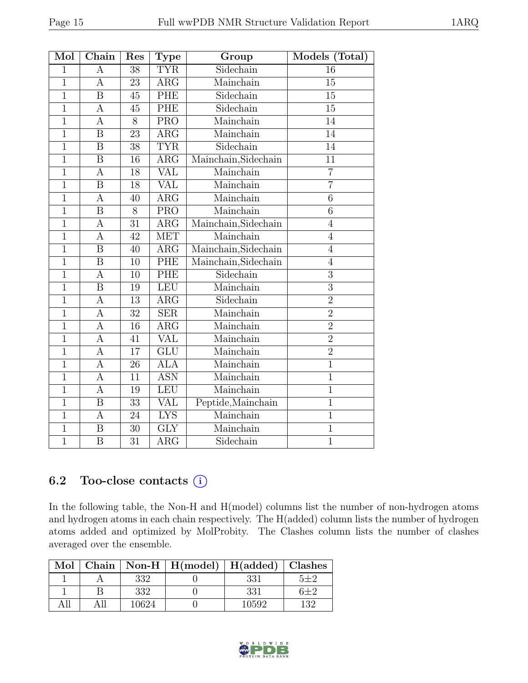| Mol            | Chain                   | Res             | <b>Type</b>             | Group                | Models (Total) |
|----------------|-------------------------|-----------------|-------------------------|----------------------|----------------|
| $\mathbf{1}$   | А                       | 38              | <b>TYR</b>              | Sidechain            | 16             |
| $\overline{1}$ | $\overline{A}$          | 23              | $\overline{\text{ARG}}$ | Mainchain            | 15             |
| $\overline{1}$ | $\boldsymbol{B}$        | 45              | PHE                     | Sidechain            | 15             |
| $\overline{1}$ | $\overline{A}$          | 45              | <b>PHE</b>              | Sidechain            | 15             |
| $\overline{1}$ | $\overline{A}$          | $\overline{8}$  | <b>PRO</b>              | Mainchain            | 14             |
| $\overline{1}$ | $\overline{\mathrm{B}}$ | 23              | $\overline{\text{ARG}}$ | Mainchain            | 14             |
| $\overline{1}$ | $\overline{B}$          | 38              | <b>TYR</b>              | Sidechain            | 14             |
| $\mathbf{1}$   | $\boldsymbol{B}$        | 16              | $\rm{ARG}$              | Mainchain, Sidechain | 11             |
| $\overline{1}$ | $\overline{A}$          | 18              | $\overline{\text{VAL}}$ | Mainchain            | $\overline{7}$ |
| $\overline{1}$ | $\overline{B}$          | 18              | <b>VAL</b>              | Mainchain            | $\overline{7}$ |
| $\mathbf{1}$   | $\overline{A}$          | 40              | ARG                     | Mainchain            | $\overline{6}$ |
| $\overline{1}$ | $\overline{B}$          | 8               | <b>PRO</b>              | Mainchain            | 6              |
| $\mathbf{1}$   | $\boldsymbol{A}$        | 31              | $\rm{ARG}$              | Mainchain, Sidechain | $\overline{4}$ |
| $\mathbf{1}$   | $\overline{A}$          | 42              | <b>MET</b>              | Mainchain            | $\overline{4}$ |
| $\overline{1}$ | $\overline{B}$          | 40              | $\overline{\text{ARG}}$ | Mainchain, Sidechain | $\overline{4}$ |
| $\overline{1}$ | $\overline{\mathbf{B}}$ | 10              | PHE                     | Mainchain, Sidechain | $\overline{4}$ |
| $\overline{1}$ | $\overline{A}$          | 10              | PHE                     | Sidechain            | 3              |
| $\overline{1}$ | $\overline{\mathrm{B}}$ | 19              | <b>LEU</b>              | Mainchain            | $\overline{3}$ |
| $\mathbf{1}$   | $\overline{A}$          | 13              | $\rm{ARG}$              | Sidechain            | $\overline{2}$ |
| $\overline{1}$ | $\overline{A}$          | $\overline{32}$ | <b>SER</b>              | Mainchain            | $\overline{2}$ |
| $\overline{1}$ | $\overline{A}$          | $\overline{16}$ | $\overline{\rm{ARG}}$   | Mainchain            | $\overline{2}$ |
| $\mathbf{1}$   | $\overline{A}$          | 41              | <b>VAL</b>              | Mainchain            | $\overline{2}$ |
| $\overline{1}$ | $\boldsymbol{A}$        | 17              | $\overline{\text{GLU}}$ | Mainchain            | $\overline{2}$ |
| $\mathbf{1}$   | $\mathbf{A}$            | 26              | <b>ALA</b>              | Mainchain            | $\overline{1}$ |
| $\overline{1}$ | $\overline{A}$          | 11              | <b>ASN</b>              | Mainchain            | $\overline{1}$ |
| $\overline{1}$ | $\overline{A}$          | 19              | LEU                     | Mainchain            | $\mathbf 1$    |
| $\mathbf{1}$   | B                       | 33              | <b>VAL</b>              | Peptide, Mainchain   | $\mathbf 1$    |
| $\mathbf{1}$   | A                       | 24              | $\overline{\text{LYS}}$ | Mainchain            | $\mathbf{1}$   |
| $\mathbf{1}$   | $\boldsymbol{B}$        | 30              | <b>GLY</b>              | Mainchain            | $\mathbf{1}$   |
| $\overline{1}$ | $\overline{\mathrm{B}}$ | 31              | $\overline{\rm{ARG}}$   | Sidechain            | $\overline{1}$ |

## 6.2 Too-close contacts  $(i)$

In the following table, the Non-H and H(model) columns list the number of non-hydrogen atoms and hydrogen atoms in each chain respectively. The H(added) column lists the number of hydrogen atoms added and optimized by MolProbity. The Clashes column lists the number of clashes averaged over the ensemble.

| Mol |       | Chain   Non-H   $H(model)$   $H(added)$   Clashes |       |         |
|-----|-------|---------------------------------------------------|-------|---------|
|     | 332   |                                                   | 331   | $5 + 2$ |
|     | 332   |                                                   | 331   | $6 + 2$ |
| All | 10624 |                                                   | 10592 | 132     |

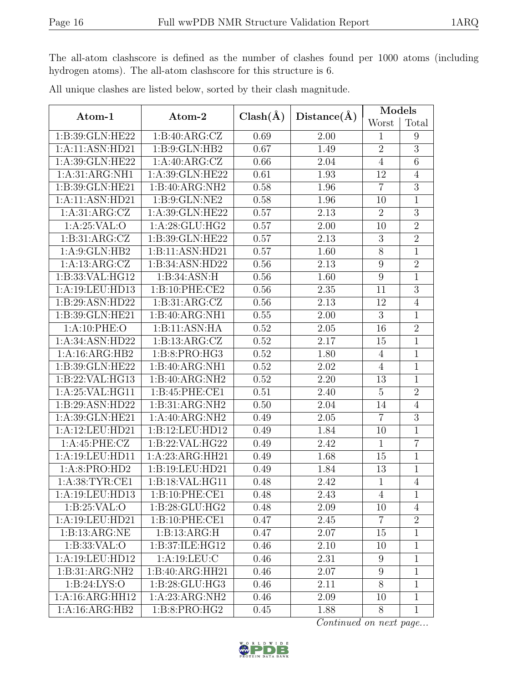The all-atom clashscore is defined as the number of clashes found per 1000 atoms (including hydrogen atoms). The all-atom clashscore for this structure is 6.

| Atom-1           | Atom-2            | $Clash(\AA)$ | Distance(A) | Models           |                |
|------------------|-------------------|--------------|-------------|------------------|----------------|
|                  |                   |              |             | Worst            | Total          |
| 1:B:39:GLN:HE22  | 1: B:40: ARG: CZ  | 0.69         | 2.00        | $\mathbf{1}$     | 9              |
| 1:A:11:ASN:HD21  | 1: B: 9: GLN: HB2 | 0.67         | 1.49        | $\overline{2}$   | 3              |
| 1:A:39:GLN:HE22  | 1:A:40:ARG:CZ     | 0.66         | 2.04        | $\overline{4}$   | 6              |
| 1:A:31:ARG:NH1   | 1:A:39:GLN:HE22   | 0.61         | 1.93        | 12               | $\overline{4}$ |
| 1:B:39:GLN:HE21  | 1:B:40:ARG:NH2    | 0.58         | 1.96        | $\overline{7}$   | $\overline{3}$ |
| 1:A:11:ASN:HD21  | 1: B: 9: GLN: NE2 | 0.58         | 1.96        | 10               | $\overline{1}$ |
| 1: A:31: ARG: CZ | 1:A:39:GLN:HE22   | 0.57         | 2.13        | $\overline{2}$   | 3              |
| 1:A:25:VAL:O     | 1:A:28:GLU:HG2    | 0.57         | 2.00        | 10               | $\overline{2}$ |
| 1:B:31:ARG:CZ    | 1:B:39:GLN:HE22   | 0.57         | 2.13        | $\sqrt{3}$       | $\overline{2}$ |
| 1:A:9:GLN:HB2    | 1:B:11:ASN:HD21   | 0.57         | 1.60        | $8\,$            | $\mathbf{1}$   |
| 1:A:13:ARG:CZ    | 1:B:34:ASN:HD22   | 0.56         | 2.13        | 9                | $\overline{2}$ |
| 1:B:33:VAL:HG12  | 1:B:34:ASN:H      | 0.56         | 1.60        | 9                | 1              |
| 1:A:19:LEU:HD13  | 1:B:10:PHE:CE2    | 0.56         | 2.35        | 11               | $\overline{3}$ |
| 1:B:29:ASN:HD22  | 1:B:31:ARG:CZ     | 0.56         | 2.13        | 12               | $\overline{4}$ |
| 1:B:39:GLN:HE21  | 1:B:40:ARG:NH1    | 0.55         | 2.00        | $\overline{3}$   | $\overline{1}$ |
| 1: A:10: PHE:O   | 1:B:11:ASN:HA     | 0.52         | 2.05        | 16               | $\overline{2}$ |
| 1:A:34:ASN:HD22  | 1:B:13:ARG:CZ     | 0.52         | 2.17        | 15               | $\mathbf{1}$   |
| 1:A:16:ARG:HB2   | 1:B:8:PRO:HG3     | 0.52         | 1.80        | $\overline{4}$   | $\mathbf{1}$   |
| 1:B:39:GLN:HE22  | 1:B:40:ARG:NH1    | 0.52         | 2.02        | $\overline{4}$   | $\mathbf{1}$   |
| 1:B:22:VAL:HG13  | 1:B:40:ARG:NH2    | 0.52         | 2.20        | 13               | $\mathbf{1}$   |
| 1:A:25:VAL:HG11  | 1:B:45:PHE:CE1    | 0.51         | 2.40        | $\overline{5}$   | $\overline{2}$ |
| 1:B:29:ASN:HD22  | 1:B:31:ARG:NH2    | 0.50         | 2.04        | 14               | $\overline{4}$ |
| 1:A:39:GLN:HE21  | 1:A:40:ARG:NH2    | 0.49         | 2.05        | $\overline{7}$   | $\overline{3}$ |
| 1:A:12:LEU:HD21  | 1:B:12:LEU:HD12   | 0.49         | 1.84        | 10               | $\mathbf{1}$   |
| 1:A:45:PHE:CZ    | 1:B:22:VAL:HG22   | 0.49         | 2.42        | $\mathbf{1}$     | $\overline{7}$ |
| 1:A:19:LEU:HD11  | 1:A:23:ARG:HH21   | 0.49         | 1.68        | 15               | $\mathbf{1}$   |
| 1:A:8:PRO:HD2    | 1:B:19:LEU:HD21   | 0.49         | 1.84        | 13               | $\mathbf{1}$   |
| 1: A:38:TYR:CE1  | 1:B:18:VAL:HG11   | 0.48         | 2.42        | $\mathbf{1}$     | $\overline{4}$ |
| 1:A:19:LEU:HD13  | 1:B:10:PHE:CE1    | 0.48         | 2.43        | 4                | $\perp$        |
| 1:B:25:VAL:O     | 1:B:28:GLU:HG2    | 0.48         | 2.09        | 10               | $\overline{4}$ |
| 1:A:19:LEU:HD21  | 1:B:10:PHE:CE1    | 0.47         | 2.45        | $\overline{7}$   | $\overline{2}$ |
| 1:B:13:ARG:NE    | 1:B:13:ARG:H      | 0.47         | 2.07        | 15               | $\mathbf{1}$   |
| 1: B: 33: VAL: O | 1:B:37:ILE:HG12   | 0.46         | 2.10        | 10               | $\mathbf{1}$   |
| 1:A:19:LEU:HD12  | 1:A:19:LEU:C      | 0.46         | 2.31        | 9                | $\mathbf{1}$   |
| 1:B:31:ARG:NH2   | 1:B:40:ARG:HH21   | 0.46         | 2.07        | $\boldsymbol{9}$ | $\mathbf{1}$   |
| 1: B:24: LYS:O   | 1:B:28:GLU:HG3    | 0.46         | 2.11        | 8                | $\mathbf{1}$   |
| 1:A:16:ARG:HH12  | 1:A:23:ARG:NH2    | 0.46         | 2.09        | 10               | $\mathbf{1}$   |
| 1:A:16:ARG:HB2   | 1: B:8: PRO:HG2   | 0.45         | 1.88        | 8                | $\mathbf{1}$   |

All unique clashes are listed below, sorted by their clash magnitude.

Continued on next page...

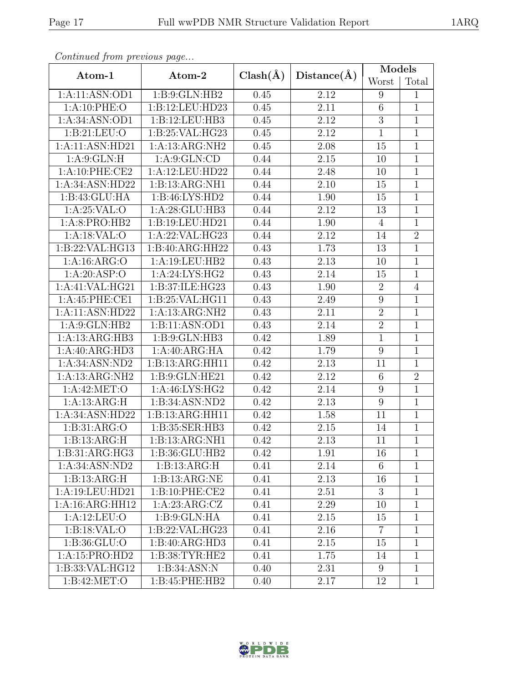| Continued from previous page |                             |              |                   | <b>Models</b>    |                |  |
|------------------------------|-----------------------------|--------------|-------------------|------------------|----------------|--|
| Atom-1                       | Atom-2                      | $Clash(\AA)$ | Distance(A)       | Worst            | Total          |  |
| 1:A:11:ASN:OD1               | 1:B:9:GLN:HB2               | 0.45         | 2.12              | 9                | $\mathbf{1}$   |  |
| 1:A:10:PHE:O                 | 1:B:12:LEU:HD23             | 0.45         | 2.11              | 6                | $\mathbf{1}$   |  |
| 1:A:34:ASN:OD1               | 1:B:12:LEU:HB3              | 0.45         | 2.12              | $\overline{3}$   | $1\,$          |  |
| 1: B: 21: LEU: O             | 1: B:25: VAL:HG23           | 0.45         | 2.12              | $\mathbf{1}$     | $\mathbf{1}$   |  |
| 1:A:11:ASN:HD21              | 1:A:13:ARG:NH2              | 0.45         | 2.08              | 15               | $\mathbf{1}$   |  |
| 1: A:9: GLN: H               | 1: A:9: GLN:CD              | 0.44         | 2.15              | 10               | $\mathbf{1}$   |  |
| 1:A:10:PHE:CE2               | 1:A:12:LEU:HD22             | 0.44         | 2.48              | 10               | $\mathbf{1}$   |  |
| 1:A:34:ASN:HD22              | 1:B:13:ARG:NH1              | 0.44         | 2.10              | 15               | $\mathbf{1}$   |  |
| 1:B:43:GLU:HA                | 1:B:46:LYS:HD2              | 0.44         | 1.90              | 15               | $\mathbf{1}$   |  |
| 1: A:25:VAL:O                | 1:A:28:GLU:HB3              | 0.44         | 2.12              | 13               | $\mathbf{1}$   |  |
| 1:A:8:PRO:HB2                | 1:B:19:LEU:HD21             | 0.44         | 1.90              | $\overline{4}$   | $\overline{1}$ |  |
| 1:A:18:VAL:O                 | 1:A:22:VAL:HG23             | 0.44         | 2.12              | 14               | $\overline{2}$ |  |
| 1:B:22:VAL:HG13              | 1:B:40:ARG:HH22             | 0.43         | 1.73              | 13               | $\mathbf{1}$   |  |
| 1: A: 16: ARG: O             | 1:A:19:LEU:HB2              | 0.43         | 2.13              | 10               | $\mathbf{1}$   |  |
| 1: A:20: ASP:O               | $1:A:24:L\overline{YS:HG2}$ | 0.43         | 2.14              | 15               | $\mathbf{1}$   |  |
| 1:A:41:VAL:HG21              | 1:B:37:ILE:HG23             | 0.43         | 1.90              | $\sqrt{2}$       | $\overline{4}$ |  |
| 1:A:45:PHE:CE1               | 1:B:25:VAL:HG11             | 0.43         | 2.49              | $\boldsymbol{9}$ | $\mathbf{1}$   |  |
| 1:A:11:ASN:HD22              | 1:A:13:ARG:NH2              | 0.43         | 2.11              | $\overline{2}$   | $\mathbf{1}$   |  |
| 1: A:9: GLN: HB2             | 1:B:11:ASN:OD1              | 0.43         | 2.14              | $\overline{2}$   | $\mathbf{1}$   |  |
| 1:A:13:ARG:HB3               | 1:B:9:GLN:HB3               | 0.42         | 1.89              | $\mathbf{1}$     | $\mathbf{1}$   |  |
| 1:A:40:ARG:HD3               | 1:A:40:ARG:HA               | 0.42         | 1.79              | 9                | $\mathbf{1}$   |  |
| 1:A:34:ASN:ND2               | 1:B:13:ARG:HH11             | 0.42         | 2.13              | 11               | $\mathbf{1}$   |  |
| 1:A:13:ARG:NH2               | 1:B:9:GLN:HE21              | 0.42         | 2.12              | 6                | $\overline{2}$ |  |
| 1: A:42: MET:O               | 1:A:46:LYS:HG2              | 0.42         | 2.14              | 9                | $\mathbf{1}$   |  |
| 1:A:13:ARG:H                 | 1:B:34:ASN:ND2              | 0.42         | 2.13              | 9                | $\mathbf{1}$   |  |
| 1:A:34:ASN:HD22              | 1:B:13:ARG:HH11             | 0.42         | 1.58              | 11               | $\mathbf{1}$   |  |
| 1: B: 31: ARG: O             | 1:B:35:SER:HB3              | 0.42         | 2.15              | 14               | $\mathbf{1}$   |  |
| 1:B:13:ARG:H                 | 1:B:13:ARG:NH1              | 0.42         | $\overline{2.13}$ | 11               | $\mathbf{1}$   |  |
| 1:B:31:ARG:HG3               | 1:B:36:GLU:HB2              | 0.42         | 1.91              | 16               | $\mathbf{1}$   |  |
| 1:A:34:ASN:ND2               | 1:B:13:ARG:H                | 0.41         | 2.14              | 6                | $\mathbf{1}$   |  |
| 1:B:13:ARG:H                 | 1: B: 13: ARG: NE           | 0.41         | 2.13              | 16               | $\mathbf{1}$   |  |
| 1:A:19:LEU:HD21              | 1:B:10:PHE:CE2              | 0.41         | 2.51              | 3                | 1              |  |
| $1:A:16:A\overline{RG:HH12}$ | 1:A:23:ARG:CZ               | 0.41         | 2.29              | 10               | $\mathbf{1}$   |  |
| 1:A:12:LEU:O                 | 1:B:9:GLN:HA                | 0.41         | 2.15              | 15               | $\mathbf{1}$   |  |
| 1:B:18:VAL:O                 | 1:B:22:VAL:HG23             | 0.41         | 2.16              | $\overline{7}$   | 1              |  |
| 1: B: 36: GLU:O              | 1:B:40:ARG:HD3              | 0.41         | 2.15              | 15               | $\mathbf 1$    |  |
| 1:A:15:PRO:HD2               | 1:B:38:TYR:HE2              | 0.41         | 1.75              | 14               | $\mathbf{1}$   |  |
| 1:B:33:VAL:HG12              | 1:B:34:ASN:N                | 0.40         | 2.31              | 9                | $\mathbf{1}$   |  |
| 1: B:42: MET:O               | 1:B:45:PHE:HB2              | 0.40         | 2.17              | 12               | $\mathbf{1}$   |  |

Continued from previous page.

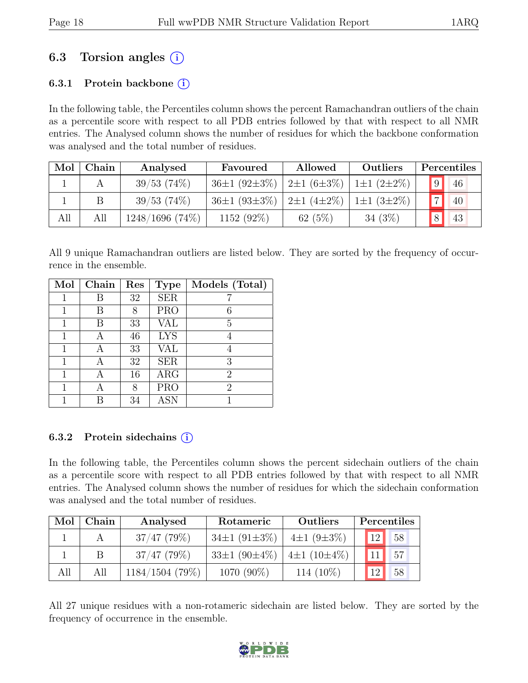# 6.3 Torsion angles  $(i)$

### 6.3.1 Protein backbone  $(i)$

In the following table, the Percentiles column shows the percent Ramachandran outliers of the chain as a percentile score with respect to all PDB entries followed by that with respect to all NMR entries. The Analysed column shows the number of residues for which the backbone conformation was analysed and the total number of residues.

| Mol | Chain | Analysed           | Favoured                                                                  | Allowed   | Outliers         |                | Percentiles |
|-----|-------|--------------------|---------------------------------------------------------------------------|-----------|------------------|----------------|-------------|
|     |       | 39/53(74%)         | $36\pm1$ (92 $\pm3\%$ )   2 $\pm1$ (6 $\pm3\%$ )   1 $\pm1$ (2 $\pm2\%$ ) |           |                  | 9              | 46          |
|     |       | 39/53(74%)         | $36\pm1$ (93 $\pm3\%$ )   2 $\pm1$ (4 $\pm2\%$ )                          |           | $1\pm1(3\pm2\%)$ | $\overline{7}$ | 40          |
| All | All   | $1248/1696$ (74\%) | 1152 $(92\%)$                                                             | 62 $(5%)$ | $34(3\%)$        |                | 43          |

All 9 unique Ramachandran outliers are listed below. They are sorted by the frequency of occurrence in the ensemble.

| Mol | Chain | Res | <b>Type</b> | Models (Total) |
|-----|-------|-----|-------------|----------------|
|     | В     | 32  | <b>SER</b>  |                |
|     | В     | 8   | <b>PRO</b>  | 6              |
|     | В     | 33  | VAL         | 5              |
| 1   | А     | 46  | <b>LYS</b>  |                |
|     | А     | 33  | <b>VAL</b>  | 4              |
|     | А     | 32  | <b>SER</b>  | 3              |
| 1   | А     | 16  | ARG         | $\overline{2}$ |
|     |       | 8   | <b>PRO</b>  | $\overline{2}$ |
|     |       | 34  | <b>ASN</b>  |                |

### 6.3.2 Protein sidechains  $(i)$

In the following table, the Percentiles column shows the percent sidechain outliers of the chain as a percentile score with respect to all PDB entries followed by that with respect to all NMR entries. The Analysed column shows the number of residues for which the sidechain conformation was analysed and the total number of residues.

| Mol | Chain | Analysed          | Rotameric                | Outliers          | Percentiles           |
|-----|-------|-------------------|--------------------------|-------------------|-----------------------|
|     |       | $37/47$ (79%)     | 34 $\pm$ 1 (91 $\pm$ 3%) | $4\pm1(9\pm3\%)$  | 12 <sub>1</sub><br>58 |
|     | В     | $37/47$ (79\%)    | $33\pm1(90\pm4\%)$       | 4±1 $(10\pm 4\%)$ | 57                    |
| All | All   | $1184/1504$ (79%) | 1070 (90%)               | 114 $(10\%)$      | 58<br>$1^{\Omega}$    |

All 27 unique residues with a non-rotameric sidechain are listed below. They are sorted by the frequency of occurrence in the ensemble.

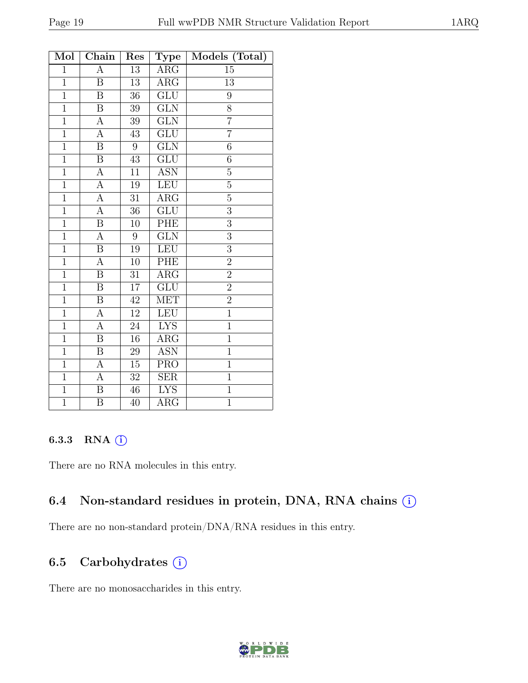| Mol            | Chain                   | Res              | <b>Type</b>             | Models (Total) |
|----------------|-------------------------|------------------|-------------------------|----------------|
| $\mathbf{1}$   | А                       | $\overline{13}$  | $\overline{\text{ARG}}$ | 15             |
| $\overline{1}$ | B                       | 13               | $\rm{ARG}$              | 13             |
| $\mathbf{1}$   | $\boldsymbol{B}$        | 36               | $\overline{\text{GLU}}$ | 9              |
| $\overline{1}$ | $\overline{\mathrm{B}}$ | $\overline{3}9$  | $\overline{\text{GLN}}$ | $\overline{8}$ |
| $\overline{1}$ | А                       | 39               | <b>GLN</b>              | $\overline{7}$ |
| $\overline{1}$ | $\overline{A}$          | $\overline{43}$  | $\overline{\text{GLU}}$ | $\overline{7}$ |
| $\overline{1}$ | $\overline{B}$          | $\boldsymbol{9}$ | $\overline{\text{GLN}}$ | $\sqrt{6}$     |
| $\overline{1}$ | $\, {\bf B}$            | $43\,$           | $\overline{\text{GLU}}$ | 6              |
| $\overline{1}$ | $\boldsymbol{A}$        | 11               | <b>ASN</b>              | $\overline{5}$ |
| $\overline{1}$ | $\overline{A}$          | 19               | LEU                     | $\overline{5}$ |
| $\mathbf{1}$   | А                       | 31               | ARG                     | 5              |
| $\overline{1}$ | $\boldsymbol{A}$        | 36               | GLU                     | 3              |
| $\mathbf{1}$   | B                       | 10               | PHE                     | 3              |
| $\overline{1}$ | А                       | $\boldsymbol{9}$ | <b>GLN</b>              | $\overline{3}$ |
| $\mathbf{1}$   | $\, {\bf B}$            | 19               | LEU                     | $\mathfrak{Z}$ |
| $\,1$          | $\boldsymbol{A}$        | $10\,$           | PHE                     | $\overline{2}$ |
| $\mathbf{1}$   | B                       | 31               | $\rm{ARG}$              | $\overline{2}$ |
| $\overline{1}$ | $\, {\bf B}$            | $\overline{17}$  | $\overline{\text{GLU}}$ | $\overline{2}$ |
| $\overline{1}$ | $\overline{B}$          | $42\,$           | <b>MET</b>              | $\overline{2}$ |
| $\overline{1}$ | А                       | 12               | <b>LEU</b>              | $\overline{1}$ |
| $\overline{1}$ | А                       | $\overline{24}$  | <b>LYS</b>              | $\mathbf{1}$   |
| $\mathbf{1}$   | Β                       | 16               | $\rm{ARG}$              | $\mathbf{1}$   |
| $\overline{1}$ | $\overline{\mathrm{B}}$ | $\overline{29}$  | <b>ASN</b>              | $\overline{1}$ |
| $\mathbf{1}$   | А                       | $15\,$           | <b>PRO</b>              | $\mathbf{1}$   |
| $\mathbf{1}$   | А                       | $32\,$           | <b>SER</b>              | $\mathbf{1}$   |
| $\overline{1}$ | $\overline{\mathbf{B}}$ | 46               | <b>LYS</b>              | $\overline{1}$ |
| $\overline{1}$ | Β                       | 40               | $\rm{ARG}$              | $\overline{1}$ |

#### 6.3.3 RNA (i)

There are no RNA molecules in this entry.

## 6.4 Non-standard residues in protein, DNA, RNA chains  $(i)$

There are no non-standard protein/DNA/RNA residues in this entry.

## 6.5 Carbohydrates (i)

There are no monosaccharides in this entry.

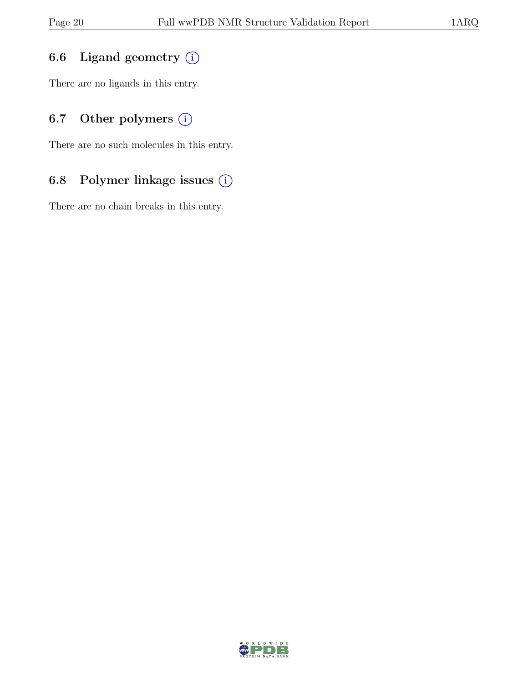## 6.6 Ligand geometry  $(i)$

There are no ligands in this entry.

## 6.7 Other polymers  $(i)$

There are no such molecules in this entry.

## 6.8 Polymer linkage issues (i)

There are no chain breaks in this entry.